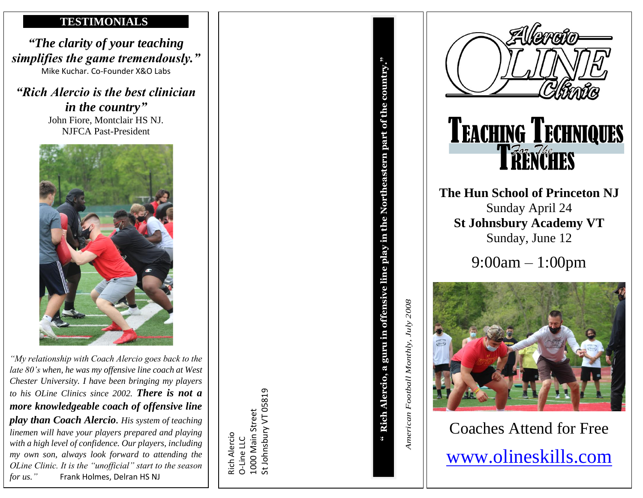## **TESTIMONIALS**

*"The clarity of your teaching simplifies the game tremendously."* Mike Kuchar. Co-Founder X&O Labs

*"Rich Alercio is the best clinician in the country"*  John Fiore, Montclair HS NJ. NJFCA Past-President



*"My relationship with Coach Alercio goes back to the late 80's when, he was my offensive line coach at West Chester University. I have been bringing my players to his OLine Clinics since 2002. There is not a more knowledgeable coach of offensive line play than Coach Alercio. His system of teaching linemen will have your players prepared and playing with a high level of confidence. Our players, including my own son, always look forward to attending the OLine Clinic. It is the "unofficial" start to the season*

Rich Alercio O-Line LLC<br>1000 Main Street 1000 Main Street St Johnsbury VT 05819



**The Hun School of Princeton NJ** Sunday April 24 **St Johnsbury Academy VT** Sunday, June 12

9:00am – 1:00pm



Coaches Attend for Free [www.olineskills.com](http://www.olineskills.com/)